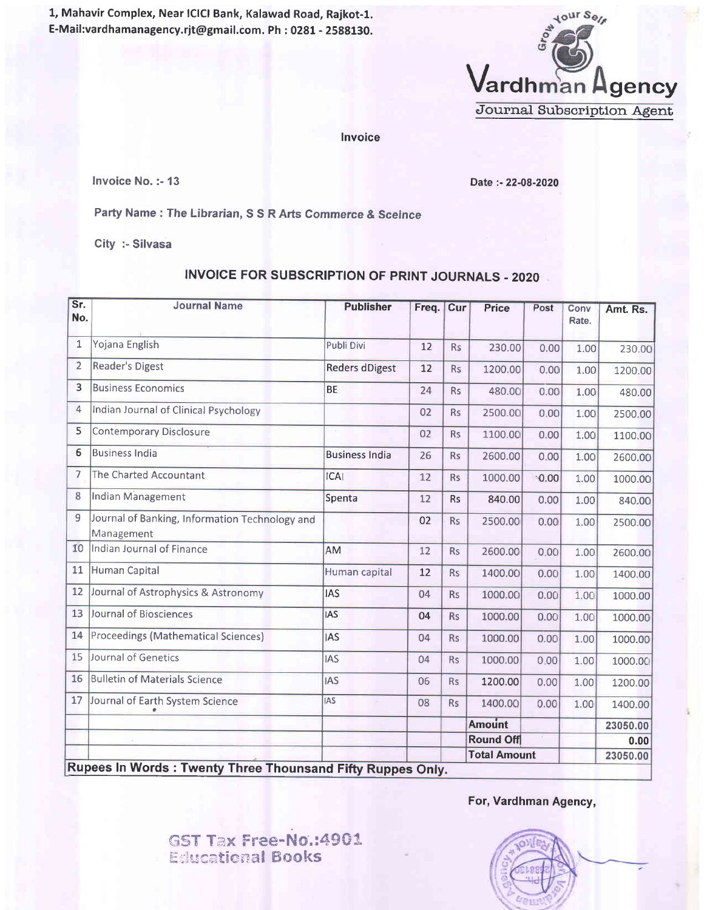1, Mahavir Complex, Near lClCl Bank, Kalawad Road, Rajkot-l. E-Mail:vardhamanagency.rjt@gmail.com. Ph : 0281 - 2588130.



Invoice

Invoice No. :- 13

Date :- 22-08-2020

Party Name : The Librarian, S S R Arts Commerce & Sceince

City :- Silvasa

## INVOICE FOR SUBSCRIPTION OF PRINT JOURNALS .2020

| Sr.<br>No.     | <b>Journal Name</b>                                              | <b>Publisher</b>      | Freq. | Cur       | <b>Price</b>        | Post | Conv<br>Rate. | Amt. Rs. |
|----------------|------------------------------------------------------------------|-----------------------|-------|-----------|---------------------|------|---------------|----------|
| 1              | Yojana English                                                   | Publi Divi            | 12    | <b>Rs</b> | 230.00              | 0.00 | 1.00          | 230.00   |
| $\overline{2}$ | <b>Reader's Digest</b>                                           | <b>Reders dDigest</b> | 12    | <b>Rs</b> | 1200.00             | 0.00 | 1.00          | 1200.00  |
| $\overline{3}$ | <b>Business Economics</b>                                        | <b>BE</b>             | 24    | <b>Rs</b> | 480.00              | 0.00 | 1.00          | 480.00   |
| 4              | Indian Journal of Clinical Psychology                            |                       | 02    | <b>Rs</b> | 2500.00             | 0.00 | 1.00          | 2500.00  |
| 5              | <b>Contemporary Disclosure</b>                                   |                       | 02    | Rs        | 1100.00             | 0.00 | 1.00          | 1100.00  |
| 6              | <b>Business India</b>                                            | <b>Business India</b> | 26    | <b>Rs</b> | 2600.00             | 0.00 | 1.00          | 2600.00  |
| 7              | The Charted Accountant                                           | ICAI                  | 12    | <b>Rs</b> | 1000.00             | 0.00 | 1.00          | 1000.00  |
| 8              | Indian Management                                                | Spenta                | 12    | <b>Rs</b> | 840.00              | 0.00 | 1.00          | 840.00   |
| 9              | Journal of Banking, Information Technology and<br>Management     |                       | 02    | <b>Rs</b> | 2500.00             | 0.00 | 1.00          | 2500.00  |
| 10             | Indian Journal of Finance                                        | AM                    | 12    | <b>Rs</b> | 2600.00             | 0.00 | 1.00          | 2600.00  |
| 11             | Human Capital                                                    | Human capital         | 12    | <b>Rs</b> | 1400.00             | 0.00 | 1.00          | 1400.00  |
| 12             | Journal of Astrophysics & Astronomy                              | <b>IAS</b>            | 04    | <b>Rs</b> | 1000.00             | 0.00 | 1.00          | 1000.00  |
| 13             | <b>Journal of Biosciences</b>                                    | <b>IAS</b>            | 04    | <b>Rs</b> | 1000.00             | 0.00 | 1.00          | 1000.00  |
| 14             | Proceedings (Mathematical Sciences)                              | <b>IAS</b>            | 04    | <b>Rs</b> | 1000.00             | 0.00 | 1.00          | 1000.00  |
| 15             | Journal of Genetics                                              | <b>IAS</b>            | 04    | <b>Rs</b> | 1000.00             | 0.00 | 1.00          | 1000.00  |
| 16             | <b>Bulletin of Materials Science</b>                             | <b>IAS</b>            | 06    | <b>Rs</b> | 1200.00             | 0.00 | 1.00          | 1200.00  |
| 17             | Journal of Earth System Science<br>ė.                            | <b>IAS</b>            | 08    | <b>Rs</b> | 1400.00             | 0.00 | 1.00          | 1400.00  |
|                |                                                                  |                       |       |           | Amount              |      |               | 23050.00 |
|                |                                                                  |                       |       |           | <b>Round Off</b>    |      |               | 0.00     |
|                | <b>Rupees In Words: Twenty Three Thounsand Fifty Ruppes Only</b> |                       |       |           | <b>Total Amount</b> |      |               | 23050.00 |

Rupees In Words : Twenty Three Thounsand Fifty Ruppes Only.

For, Vardhman Agency,

GST Tax Free-No.:4901 **Educational Books**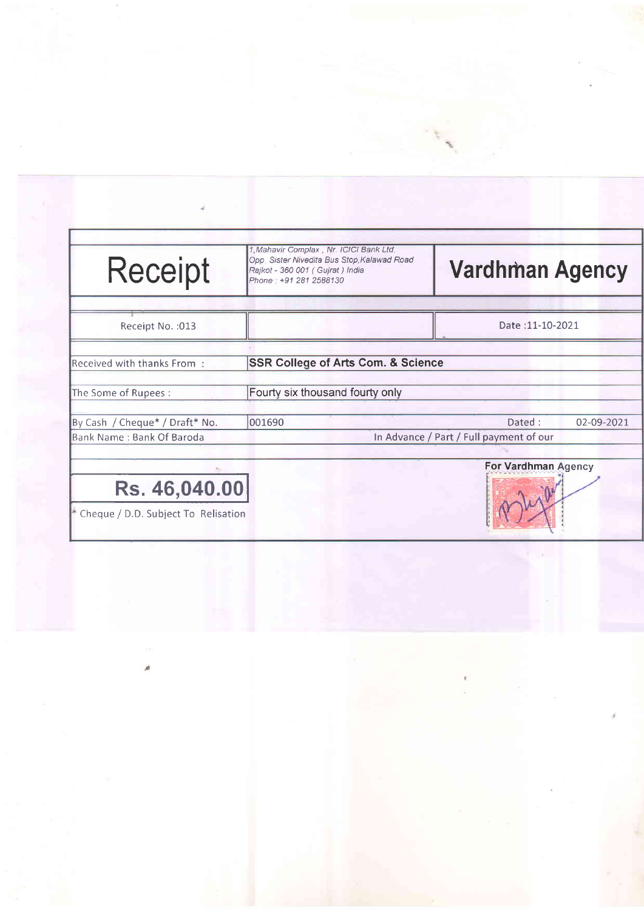| <b>Receipt</b>                        | 1, Mahavir Complax, Nr. ICICI Bank Ltd.<br>Opp. Sister Nivedita Bus Stop, Kalawad Road<br>Rajkot - 360 001 (Gujrat) India<br>Phone: +91 281 2588130 | <b>Vardhman Agency</b>                  |                     |  |  |  |
|---------------------------------------|-----------------------------------------------------------------------------------------------------------------------------------------------------|-----------------------------------------|---------------------|--|--|--|
| Receipt No. : 013                     |                                                                                                                                                     |                                         | Date: 11-10-2021    |  |  |  |
| Received with thanks From             | <b>SSR College of Arts Com. &amp; Science</b>                                                                                                       |                                         |                     |  |  |  |
| The Some of Rupees:                   | Fourty six thousand fourty only                                                                                                                     |                                         |                     |  |  |  |
| By Cash / Cheque* / Draft* No.        | 001690                                                                                                                                              | Dated:                                  | 02-09-2021          |  |  |  |
| Bank Name: Bank Of Baroda             |                                                                                                                                                     | In Advance / Part / Full payment of our |                     |  |  |  |
|                                       |                                                                                                                                                     |                                         | For Vardhman Agency |  |  |  |
| Rs. 46,040.00                         |                                                                                                                                                     |                                         |                     |  |  |  |
| * Cheque / D.D. Subject To Relisation |                                                                                                                                                     |                                         |                     |  |  |  |

ø